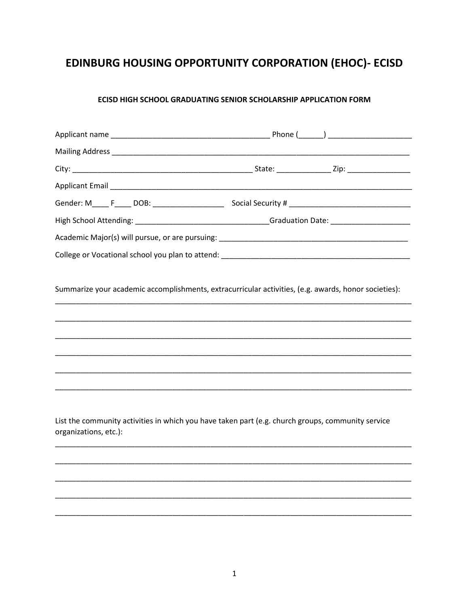# EDINBURG HOUSING OPPORTUNITY CORPORATION (EHOC)- ECISD

## ECISD HIGH SCHOOL GRADUATING SENIOR SCHOLARSHIP APPLICATION FORM

|                       | Gender: M_____ F_____ DOB: __________________________Social Security # __________________________________ |  |
|-----------------------|-----------------------------------------------------------------------------------------------------------|--|
|                       | High School Attending: _________________________________Graduation Date: __________________________       |  |
|                       |                                                                                                           |  |
|                       |                                                                                                           |  |
|                       | Summarize your academic accomplishments, extracurricular activities, (e.g. awards, honor societies):      |  |
|                       |                                                                                                           |  |
|                       |                                                                                                           |  |
|                       |                                                                                                           |  |
|                       |                                                                                                           |  |
|                       |                                                                                                           |  |
|                       |                                                                                                           |  |
| organizations, etc.): | List the community activities in which you have taken part (e.g. church groups, community service         |  |
|                       |                                                                                                           |  |
|                       |                                                                                                           |  |
|                       |                                                                                                           |  |
|                       |                                                                                                           |  |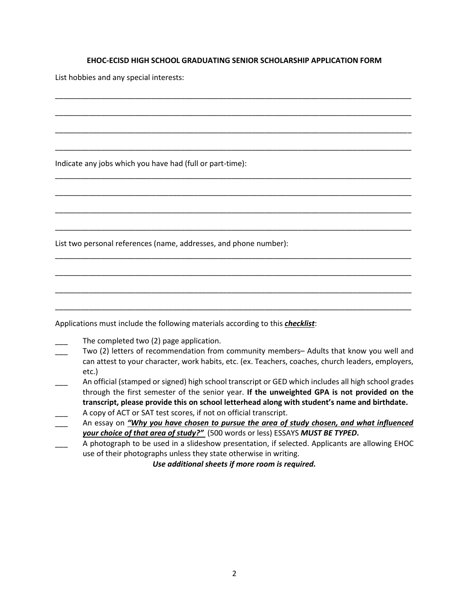#### **EHOC-ECISD HIGH SCHOOL GRADUATING SENIOR SCHOLARSHIP APPLICATION FORM**

\_\_\_\_\_\_\_\_\_\_\_\_\_\_\_\_\_\_\_\_\_\_\_\_\_\_\_\_\_\_\_\_\_\_\_\_\_\_\_\_\_\_\_\_\_\_\_\_\_\_\_\_\_\_\_\_\_\_\_\_\_\_\_\_\_\_\_\_\_\_\_\_\_\_\_\_\_\_\_\_\_\_\_\_\_

\_\_\_\_\_\_\_\_\_\_\_\_\_\_\_\_\_\_\_\_\_\_\_\_\_\_\_\_\_\_\_\_\_\_\_\_\_\_\_\_\_\_\_\_\_\_\_\_\_\_\_\_\_\_\_\_\_\_\_\_\_\_\_\_\_\_\_\_\_\_\_\_\_\_\_\_\_\_\_\_\_\_\_\_\_

\_\_\_\_\_\_\_\_\_\_\_\_\_\_\_\_\_\_\_\_\_\_\_\_\_\_\_\_\_\_\_\_\_\_\_\_\_\_\_\_\_\_\_\_\_\_\_\_\_\_\_\_\_\_\_\_\_\_\_\_\_\_\_\_\_\_\_\_\_\_\_\_\_\_\_\_\_\_\_\_\_\_\_\_\_

\_\_\_\_\_\_\_\_\_\_\_\_\_\_\_\_\_\_\_\_\_\_\_\_\_\_\_\_\_\_\_\_\_\_\_\_\_\_\_\_\_\_\_\_\_\_\_\_\_\_\_\_\_\_\_\_\_\_\_\_\_\_\_\_\_\_\_\_\_\_\_\_\_\_\_\_\_\_\_\_\_\_\_\_\_

\_\_\_\_\_\_\_\_\_\_\_\_\_\_\_\_\_\_\_\_\_\_\_\_\_\_\_\_\_\_\_\_\_\_\_\_\_\_\_\_\_\_\_\_\_\_\_\_\_\_\_\_\_\_\_\_\_\_\_\_\_\_\_\_\_\_\_\_\_\_\_\_\_\_\_\_\_\_\_\_\_\_\_\_\_

\_\_\_\_\_\_\_\_\_\_\_\_\_\_\_\_\_\_\_\_\_\_\_\_\_\_\_\_\_\_\_\_\_\_\_\_\_\_\_\_\_\_\_\_\_\_\_\_\_\_\_\_\_\_\_\_\_\_\_\_\_\_\_\_\_\_\_\_\_\_\_\_\_\_\_\_\_\_\_\_\_\_\_\_\_

\_\_\_\_\_\_\_\_\_\_\_\_\_\_\_\_\_\_\_\_\_\_\_\_\_\_\_\_\_\_\_\_\_\_\_\_\_\_\_\_\_\_\_\_\_\_\_\_\_\_\_\_\_\_\_\_\_\_\_\_\_\_\_\_\_\_\_\_\_\_\_\_\_\_\_\_\_\_\_\_\_\_\_\_\_

\_\_\_\_\_\_\_\_\_\_\_\_\_\_\_\_\_\_\_\_\_\_\_\_\_\_\_\_\_\_\_\_\_\_\_\_\_\_\_\_\_\_\_\_\_\_\_\_\_\_\_\_\_\_\_\_\_\_\_\_\_\_\_\_\_\_\_\_\_\_\_\_\_\_\_\_\_\_\_\_\_\_\_\_\_

\_\_\_\_\_\_\_\_\_\_\_\_\_\_\_\_\_\_\_\_\_\_\_\_\_\_\_\_\_\_\_\_\_\_\_\_\_\_\_\_\_\_\_\_\_\_\_\_\_\_\_\_\_\_\_\_\_\_\_\_\_\_\_\_\_\_\_\_\_\_\_\_\_\_\_\_\_\_\_\_\_\_\_\_\_

\_\_\_\_\_\_\_\_\_\_\_\_\_\_\_\_\_\_\_\_\_\_\_\_\_\_\_\_\_\_\_\_\_\_\_\_\_\_\_\_\_\_\_\_\_\_\_\_\_\_\_\_\_\_\_\_\_\_\_\_\_\_\_\_\_\_\_\_\_\_\_\_\_\_\_\_\_\_\_\_\_\_\_\_\_

\_\_\_\_\_\_\_\_\_\_\_\_\_\_\_\_\_\_\_\_\_\_\_\_\_\_\_\_\_\_\_\_\_\_\_\_\_\_\_\_\_\_\_\_\_\_\_\_\_\_\_\_\_\_\_\_\_\_\_\_\_\_\_\_\_\_\_\_\_\_\_\_\_\_\_\_\_\_\_\_\_\_\_\_\_

\_\_\_\_\_\_\_\_\_\_\_\_\_\_\_\_\_\_\_\_\_\_\_\_\_\_\_\_\_\_\_\_\_\_\_\_\_\_\_\_\_\_\_\_\_\_\_\_\_\_\_\_\_\_\_\_\_\_\_\_\_\_\_\_\_\_\_\_\_\_\_\_\_\_\_\_\_\_\_\_\_\_\_\_\_

List hobbies and any special interests:

Indicate any jobs which you have had (full or part-time):

List two personal references (name, addresses, and phone number):

Applications must include the following materials according to this *checklist*:

- The completed two (2) page application.
- Two (2) letters of recommendation from community members– Adults that know you well and can attest to your character, work habits, etc. (ex. Teachers, coaches, church leaders, employers, etc.)
- \_\_\_ An official (stamped or signed) high school transcript or GED which includes all high school grades through the first semester of the senior year. **If the unweighted GPA is not provided on the transcript, please provide this on school letterhead along with student's name and birthdate.** A copy of ACT or SAT test scores, if not on official transcript.
- An essay on *"Why you have chosen to pursue the area of study chosen, and what influenced your choice of that area of study?"* (500 words or less) ESSAYS *MUST BE TYPED***.**
- A photograph to be used in a slideshow presentation, if selected. Applicants are allowing EHOC use of their photographs unless they state otherwise in writing.

*Use additional sheets if more room is required.*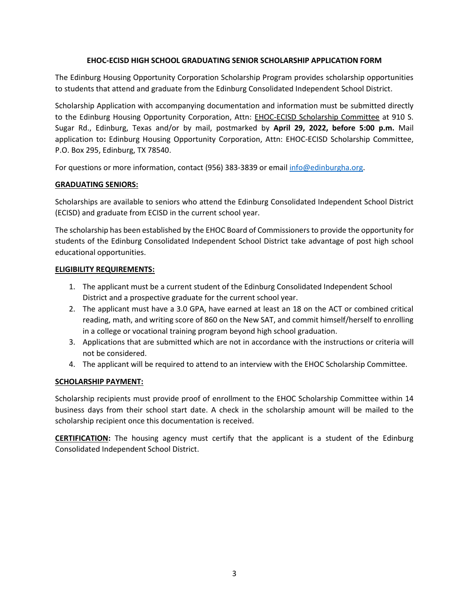## **EHOC-ECISD HIGH SCHOOL GRADUATING SENIOR SCHOLARSHIP APPLICATION FORM**

The Edinburg Housing Opportunity Corporation Scholarship Program provides scholarship opportunities to students that attend and graduate from the Edinburg Consolidated Independent School District.

Scholarship Application with accompanying documentation and information must be submitted directly to the Edinburg Housing Opportunity Corporation, Attn: EHOC-ECISD Scholarship Committee at 910 S. Sugar Rd., Edinburg, Texas and/or by mail, postmarked by **April 29, 2022, before 5:00 p.m.** Mail application to**:** Edinburg Housing Opportunity Corporation, Attn: EHOC-ECISD Scholarship Committee, P.O. Box 295, Edinburg, TX 78540.

For questions or more information, contact (956) 383-3839 or email [info@edinburgha.org.](mailto:info@edinburgha.org)

## **GRADUATING SENIORS:**

Scholarships are available to seniors who attend the Edinburg Consolidated Independent School District (ECISD) and graduate from ECISD in the current school year.

The scholarship has been established by the EHOC Board of Commissioners to provide the opportunity for students of the Edinburg Consolidated Independent School District take advantage of post high school educational opportunities.

## **ELIGIBILITY REQUIREMENTS:**

- 1. The applicant must be a current student of the Edinburg Consolidated Independent School District and a prospective graduate for the current school year.
- 2. The applicant must have a 3.0 GPA, have earned at least an 18 on the ACT or combined critical reading, math, and writing score of 860 on the New SAT, and commit himself/herself to enrolling in a college or vocational training program beyond high school graduation.
- 3. Applications that are submitted which are not in accordance with the instructions or criteria will not be considered.
- 4. The applicant will be required to attend to an interview with the EHOC Scholarship Committee.

## **SCHOLARSHIP PAYMENT:**

Scholarship recipients must provide proof of enrollment to the EHOC Scholarship Committee within 14 business days from their school start date. A check in the scholarship amount will be mailed to the scholarship recipient once this documentation is received.

**CERTIFICATION:** The housing agency must certify that the applicant is a student of the Edinburg Consolidated Independent School District.